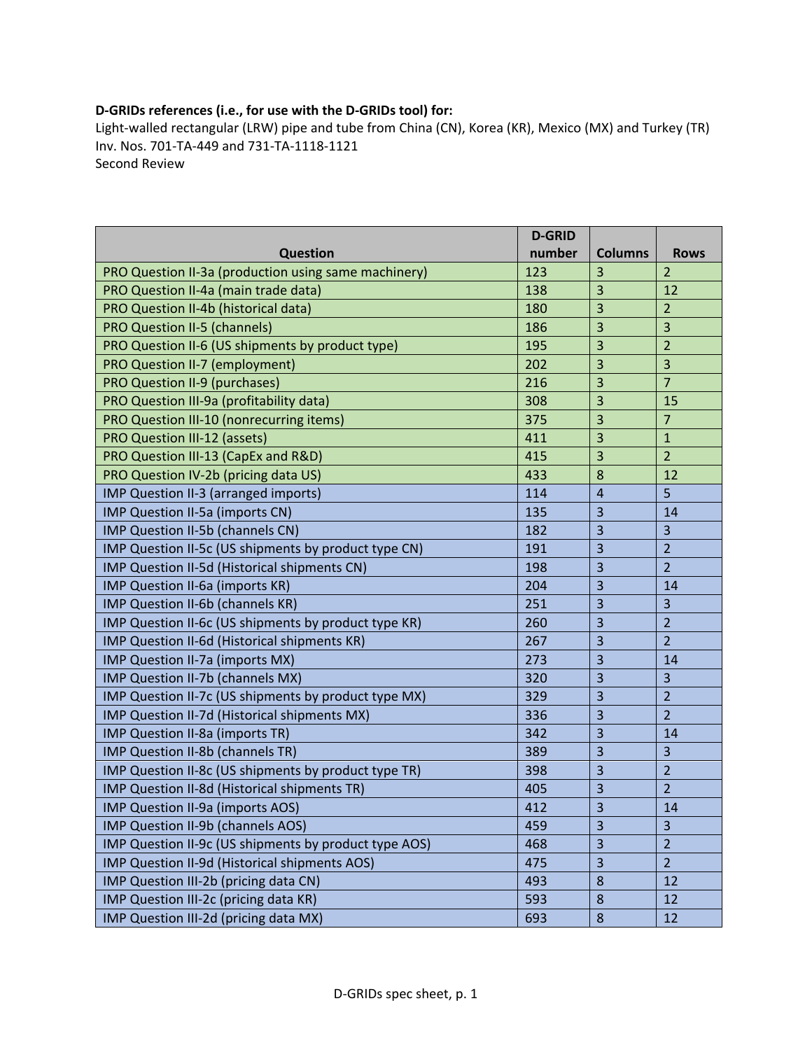## **D‐GRIDs references (i.e., for use with the D‐GRIDs tool) for:**

Light‐walled rectangular (LRW) pipe and tube from China (CN), Korea (KR), Mexico (MX) and Turkey (TR) Inv. Nos. 701‐TA‐449 and 731‐TA‐1118‐1121 Second Review

|                                                       | <b>D-GRID</b> |                         |                         |
|-------------------------------------------------------|---------------|-------------------------|-------------------------|
| <b>Question</b>                                       | number        | <b>Columns</b>          | <b>Rows</b>             |
| PRO Question II-3a (production using same machinery)  | 123           | 3                       | $\overline{2}$          |
| PRO Question II-4a (main trade data)                  | 138           | 3                       | 12                      |
| PRO Question II-4b (historical data)                  | 180           | 3                       | $\overline{2}$          |
| <b>PRO Question II-5 (channels)</b>                   | 186           | 3                       | $\overline{3}$          |
| PRO Question II-6 (US shipments by product type)      | 195           | 3                       | $\overline{2}$          |
| PRO Question II-7 (employment)                        | 202           | 3                       | $\overline{\mathbf{3}}$ |
| PRO Question II-9 (purchases)                         | 216           | 3                       | $\overline{7}$          |
| PRO Question III-9a (profitability data)              | 308           | 3                       | 15                      |
| PRO Question III-10 (nonrecurring items)              | 375           | 3                       | $\overline{7}$          |
| PRO Question III-12 (assets)                          | 411           | 3                       | $\mathbf{1}$            |
| PRO Question III-13 (CapEx and R&D)                   | 415           | 3                       | $\overline{2}$          |
| PRO Question IV-2b (pricing data US)                  | 433           | 8                       | 12                      |
| IMP Question II-3 (arranged imports)                  | 114           | $\overline{4}$          | 5                       |
| IMP Question II-5a (imports CN)                       | 135           | 3                       | 14                      |
| IMP Question II-5b (channels CN)                      | 182           | 3                       | $\overline{3}$          |
| IMP Question II-5c (US shipments by product type CN)  | 191           | 3                       | $\overline{2}$          |
| IMP Question II-5d (Historical shipments CN)          | 198           | 3                       | $\overline{2}$          |
| IMP Question II-6a (imports KR)                       | 204           | 3                       | 14                      |
| IMP Question II-6b (channels KR)                      | 251           | 3                       | $\overline{3}$          |
| IMP Question II-6c (US shipments by product type KR)  | 260           | 3                       | $\overline{2}$          |
| IMP Question II-6d (Historical shipments KR)          | 267           | 3                       | $\overline{2}$          |
| IMP Question II-7a (imports MX)                       | 273           | 3                       | 14                      |
| IMP Question II-7b (channels MX)                      | 320           | 3                       | 3                       |
| IMP Question II-7c (US shipments by product type MX)  | 329           | 3                       | $\overline{2}$          |
| IMP Question II-7d (Historical shipments MX)          | 336           | 3                       | $\overline{2}$          |
| IMP Question II-8a (imports TR)                       | 342           | 3                       | 14                      |
| IMP Question II-8b (channels TR)                      | 389           | 3                       | $\overline{3}$          |
| IMP Question II-8c (US shipments by product type TR)  | 398           | 3                       | $\overline{2}$          |
| IMP Question II-8d (Historical shipments TR)          | 405           | 3                       | $\overline{2}$          |
| IMP Question II-9a (imports AOS)                      | 412           | $\overline{\mathbf{3}}$ | 14                      |
| IMP Question II-9b (channels AOS)                     | 459           | 3                       | 3                       |
| IMP Question II-9c (US shipments by product type AOS) | 468           | 3                       | $\overline{2}$          |
| IMP Question II-9d (Historical shipments AOS)         | 475           | 3                       | $\overline{2}$          |
| IMP Question III-2b (pricing data CN)                 | 493           | 8                       | 12                      |
| IMP Question III-2c (pricing data KR)                 | 593           | 8                       | 12                      |
| IMP Question III-2d (pricing data MX)                 | 693           | $\bf 8$                 | 12                      |